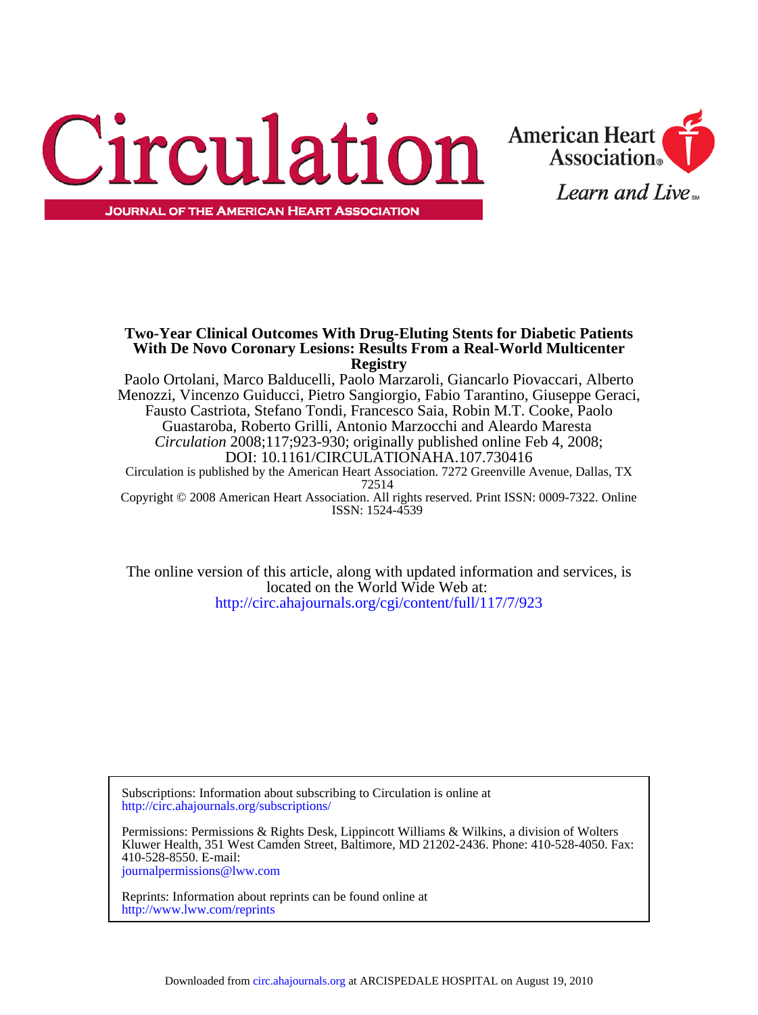



**Registry With De Novo Coronary Lesions: Results From a Real-World Multicenter Two-Year Clinical Outcomes With Drug-Eluting Stents for Diabetic Patients**

ISSN: 1524-4539 Copyright © 2008 American Heart Association. All rights reserved. Print ISSN: 0009-7322. Online 72514 Circulation is published by the American Heart Association. 7272 Greenville Avenue, Dallas, TX DOI: 10.1161/CIRCULATIONAHA.107.730416 *Circulation* 2008;117;923-930; originally published online Feb 4, 2008; Guastaroba, Roberto Grilli, Antonio Marzocchi and Aleardo Maresta Fausto Castriota, Stefano Tondi, Francesco Saia, Robin M.T. Cooke, Paolo Menozzi, Vincenzo Guiducci, Pietro Sangiorgio, Fabio Tarantino, Giuseppe Geraci, Paolo Ortolani, Marco Balducelli, Paolo Marzaroli, Giancarlo Piovaccari, Alberto

<http://circ.ahajournals.org/cgi/content/full/117/7/923> located on the World Wide Web at: The online version of this article, along with updated information and services, is

<http://circ.ahajournals.org/subscriptions/> Subscriptions: Information about subscribing to Circulation is online at

[journalpermissions@lww.com](mailto:journalpermissions@lww.com) 410-528-8550. E-mail: Kluwer Health, 351 West Camden Street, Baltimore, MD 21202-2436. Phone: 410-528-4050. Fax: Permissions: Permissions & Rights Desk, Lippincott Williams & Wilkins, a division of Wolters

<http://www.lww.com/reprints> Reprints: Information about reprints can be found online at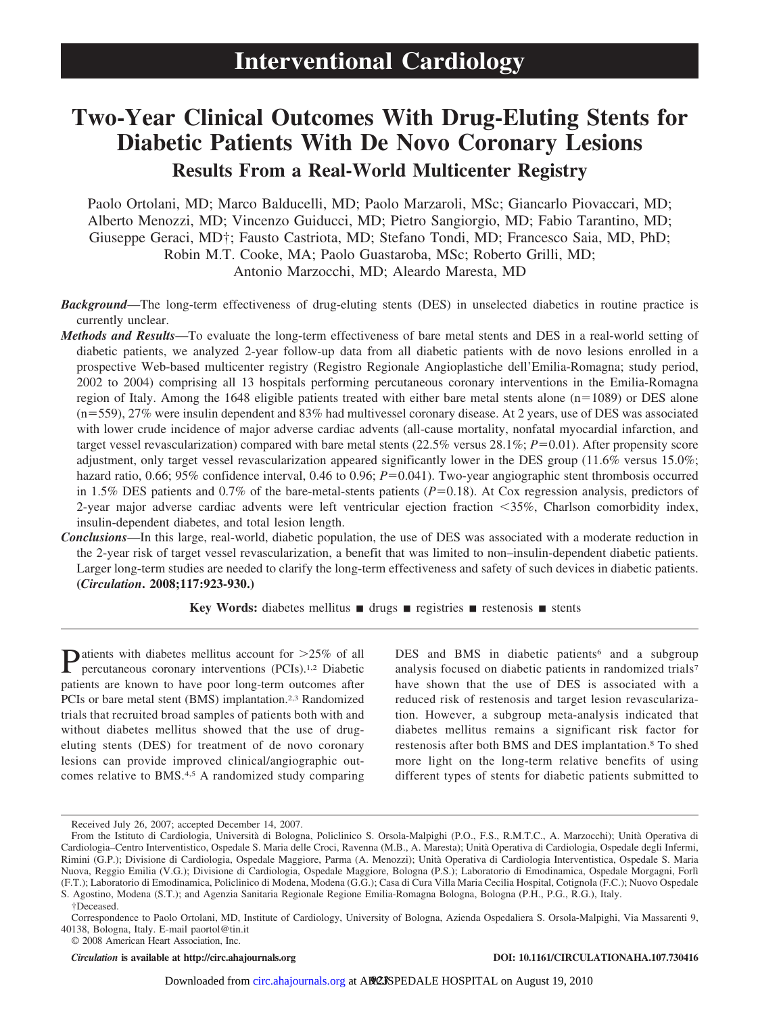# **Two-Year Clinical Outcomes With Drug-Eluting Stents for Diabetic Patients With De Novo Coronary Lesions Results From a Real-World Multicenter Registry**

Paolo Ortolani, MD; Marco Balducelli, MD; Paolo Marzaroli, MSc; Giancarlo Piovaccari, MD; Alberto Menozzi, MD; Vincenzo Guiducci, MD; Pietro Sangiorgio, MD; Fabio Tarantino, MD; Giuseppe Geraci, MD†; Fausto Castriota, MD; Stefano Tondi, MD; Francesco Saia, MD, PhD; Robin M.T. Cooke, MA; Paolo Guastaroba, MSc; Roberto Grilli, MD; Antonio Marzocchi, MD; Aleardo Maresta, MD

- *Background*—The long-term effectiveness of drug-eluting stents (DES) in unselected diabetics in routine practice is currently unclear.
- *Methods and Results*—To evaluate the long-term effectiveness of bare metal stents and DES in a real-world setting of diabetic patients, we analyzed 2-year follow-up data from all diabetic patients with de novo lesions enrolled in a prospective Web-based multicenter registry (Registro Regionale Angioplastiche dell'Emilia-Romagna; study period, 2002 to 2004) comprising all 13 hospitals performing percutaneous coronary interventions in the Emilia-Romagna region of Italy. Among the 1648 eligible patients treated with either bare metal stents alone ( $n=1089$ ) or DES alone  $(n=559)$ , 27% were insulin dependent and 83% had multivessel coronary disease. At 2 years, use of DES was associated with lower crude incidence of major adverse cardiac advents (all-cause mortality, nonfatal myocardial infarction, and target vessel revascularization) compared with bare metal stents  $(22.5\%$  versus  $28.1\%; P=0.01)$ . After propensity score adjustment, only target vessel revascularization appeared significantly lower in the DES group (11.6% versus 15.0%; hazard ratio, 0.66; 95% confidence interval, 0.46 to 0.96;  $P=0.041$ ). Two-year angiographic stent thrombosis occurred in 1.5% DES patients and 0.7% of the bare-metal-stents patients  $(P=0.18)$ . At Cox regression analysis, predictors of 2-year major adverse cardiac advents were left ventricular ejection fraction -35%, Charlson comorbidity index, insulin-dependent diabetes, and total lesion length.
- *Conclusions*—In this large, real-world, diabetic population, the use of DES was associated with a moderate reduction in the 2-year risk of target vessel revascularization, a benefit that was limited to non–insulin-dependent diabetic patients. Larger long-term studies are needed to clarify the long-term effectiveness and safety of such devices in diabetic patients. **(***Circulation***. 2008;117:923-930.)**

**Key Words:** diabetes mellitus  $\blacksquare$  drugs  $\blacksquare$  registries  $\blacksquare$  restenosis  $\blacksquare$  stents

**P**atients with diabetes mellitus account for >25% of all percutaneous coronary interventions (PCIs).<sup>1,2</sup> Diabetic patients are known to have poor long-term outcomes after PCIs or bare metal stent (BMS) implantation.<sup>2,3</sup> Randomized trials that recruited broad samples of patients both with and without diabetes mellitus showed that the use of drugeluting stents (DES) for treatment of de novo coronary lesions can provide improved clinical/angiographic outcomes relative to BMS.4,5 A randomized study comparing

DES and BMS in diabetic patients<sup>6</sup> and a subgroup analysis focused on diabetic patients in randomized trials7 have shown that the use of DES is associated with a reduced risk of restenosis and target lesion revascularization. However, a subgroup meta-analysis indicated that diabetes mellitus remains a significant risk factor for restenosis after both BMS and DES implantation.8 To shed more light on the long-term relative benefits of using different types of stents for diabetic patients submitted to

© 2008 American Heart Association, Inc.

Received July 26, 2007; accepted December 14, 2007.

From the Istituto di Cardiologia, Università di Bologna, Policlinico S. Orsola-Malpighi (P.O., F.S., R.M.T.C., A. Marzocchi); Unità Operativa di Cardiologia–Centro Interventistico, Ospedale S. Maria delle Croci, Ravenna (M.B., A. Maresta); Unità Operativa di Cardiologia, Ospedale degli Infermi, Rimini (G.P.); Divisione di Cardiologia, Ospedale Maggiore, Parma (A. Menozzi); Unità Operativa di Cardiologia Interventistica, Ospedale S. Maria Nuova, Reggio Emilia (V.G.); Divisione di Cardiologia, Ospedale Maggiore, Bologna (P.S.); Laboratorio di Emodinamica, Ospedale Morgagni, Forlì (F.T.); Laboratorio di Emodinamica, Policlinico di Modena, Modena (G.G.); Casa di Cura Villa Maria Cecilia Hospital, Cotignola (F.C.); Nuovo Ospedale S. Agostino, Modena (S.T.); and Agenzia Sanitaria Regionale Regione Emilia-Romagna Bologna, Bologna (P.H., P.G., R.G.), Italy.

<sup>†</sup>Deceased.

Correspondence to Paolo Ortolani, MD, Institute of Cardiology, University of Bologna, Azienda Ospedaliera S. Orsola-Malpighi, Via Massarenti 9, 40138, Bologna, Italy. E-mail paortol@tin.it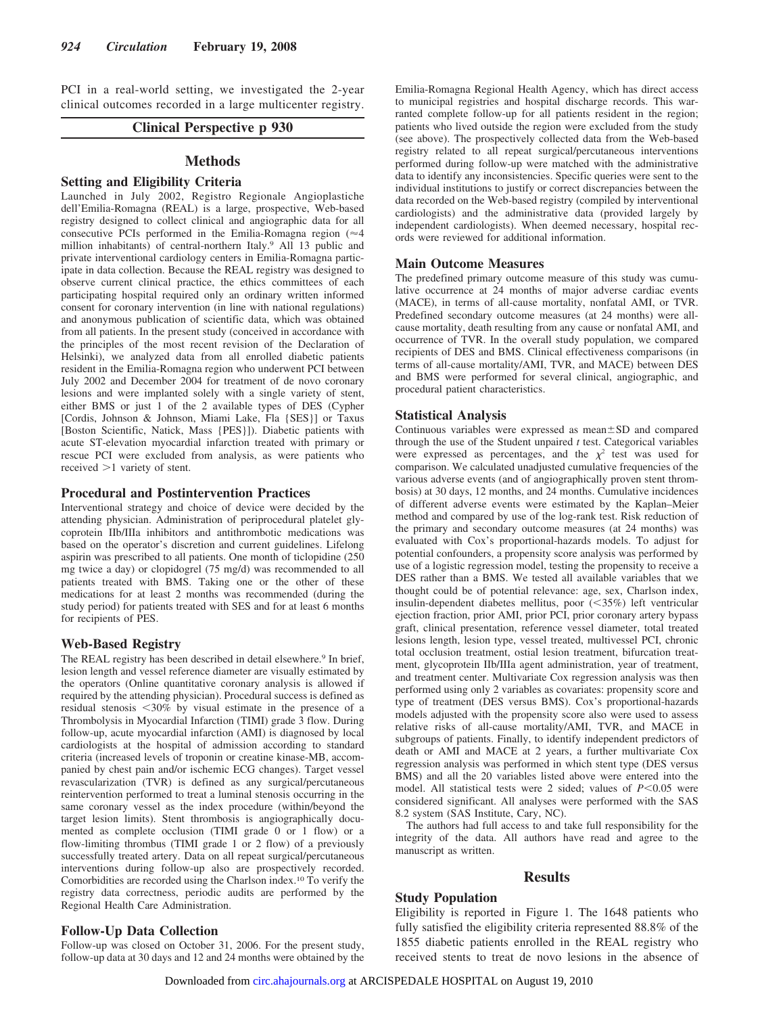PCI in a real-world setting, we investigated the 2-year clinical outcomes recorded in a large multicenter registry.

# **Clinical Perspective p 930**

# **Methods**

# **Setting and Eligibility Criteria**

Launched in July 2002, Registro Regionale Angioplastiche dell'Emilia-Romagna (REAL) is a large, prospective, Web-based registry designed to collect clinical and angiographic data for all consecutive PCIs performed in the Emilia-Romagna region  $($ million inhabitants) of central-northern Italy.9 All 13 public and private interventional cardiology centers in Emilia-Romagna participate in data collection. Because the REAL registry was designed to observe current clinical practice, the ethics committees of each participating hospital required only an ordinary written informed consent for coronary intervention (in line with national regulations) and anonymous publication of scientific data, which was obtained from all patients. In the present study (conceived in accordance with the principles of the most recent revision of the Declaration of Helsinki), we analyzed data from all enrolled diabetic patients resident in the Emilia-Romagna region who underwent PCI between July 2002 and December 2004 for treatment of de novo coronary lesions and were implanted solely with a single variety of stent, either BMS or just 1 of the 2 available types of DES (Cypher [Cordis, Johnson & Johnson, Miami Lake, Fla {SES}] or Taxus [Boston Scientific, Natick, Mass {PES}]). Diabetic patients with acute ST-elevation myocardial infarction treated with primary or rescue PCI were excluded from analysis, as were patients who received  $>1$  variety of stent.

## **Procedural and Postintervention Practices**

Interventional strategy and choice of device were decided by the attending physician. Administration of periprocedural platelet glycoprotein IIb/IIIa inhibitors and antithrombotic medications was based on the operator's discretion and current guidelines. Lifelong aspirin was prescribed to all patients. One month of ticlopidine (250 mg twice a day) or clopidogrel (75 mg/d) was recommended to all patients treated with BMS. Taking one or the other of these medications for at least 2 months was recommended (during the study period) for patients treated with SES and for at least 6 months for recipients of PES.

## **Web-Based Registry**

The REAL registry has been described in detail elsewhere.<sup>9</sup> In brief, lesion length and vessel reference diameter are visually estimated by the operators (Online quantitative coronary analysis is allowed if required by the attending physician). Procedural success is defined as residual stenosis <30% by visual estimate in the presence of a Thrombolysis in Myocardial Infarction (TIMI) grade 3 flow. During follow-up, acute myocardial infarction (AMI) is diagnosed by local cardiologists at the hospital of admission according to standard criteria (increased levels of troponin or creatine kinase-MB, accompanied by chest pain and/or ischemic ECG changes). Target vessel revascularization (TVR) is defined as any surgical/percutaneous reintervention performed to treat a luminal stenosis occurring in the same coronary vessel as the index procedure (within/beyond the target lesion limits). Stent thrombosis is angiographically documented as complete occlusion (TIMI grade 0 or 1 flow) or a flow-limiting thrombus (TIMI grade 1 or 2 flow) of a previously successfully treated artery. Data on all repeat surgical/percutaneous interventions during follow-up also are prospectively recorded. Comorbidities are recorded using the Charlson index.10 To verify the registry data correctness, periodic audits are performed by the Regional Health Care Administration.

# **Follow-Up Data Collection**

Follow-up was closed on October 31, 2006. For the present study, follow-up data at 30 days and 12 and 24 months were obtained by the Emilia-Romagna Regional Health Agency, which has direct access to municipal registries and hospital discharge records. This warranted complete follow-up for all patients resident in the region; patients who lived outside the region were excluded from the study (see above). The prospectively collected data from the Web-based registry related to all repeat surgical/percutaneous interventions performed during follow-up were matched with the administrative data to identify any inconsistencies. Specific queries were sent to the individual institutions to justify or correct discrepancies between the data recorded on the Web-based registry (compiled by interventional cardiologists) and the administrative data (provided largely by independent cardiologists). When deemed necessary, hospital records were reviewed for additional information.

## **Main Outcome Measures**

The predefined primary outcome measure of this study was cumulative occurrence at 24 months of major adverse cardiac events (MACE), in terms of all-cause mortality, nonfatal AMI, or TVR. Predefined secondary outcome measures (at 24 months) were allcause mortality, death resulting from any cause or nonfatal AMI, and occurrence of TVR. In the overall study population, we compared recipients of DES and BMS. Clinical effectiveness comparisons (in terms of all-cause mortality/AMI, TVR, and MACE) between DES and BMS were performed for several clinical, angiographic, and procedural patient characteristics.

## **Statistical Analysis**

Continuous variables were expressed as mean $\pm$ SD and compared through the use of the Student unpaired *t* test. Categorical variables were expressed as percentages, and the  $\chi^2$  test was used for comparison. We calculated unadjusted cumulative frequencies of the various adverse events (and of angiographically proven stent thrombosis) at 30 days, 12 months, and 24 months. Cumulative incidences of different adverse events were estimated by the Kaplan–Meier method and compared by use of the log-rank test. Risk reduction of the primary and secondary outcome measures (at 24 months) was evaluated with Cox's proportional-hazards models. To adjust for potential confounders, a propensity score analysis was performed by use of a logistic regression model, testing the propensity to receive a DES rather than a BMS. We tested all available variables that we thought could be of potential relevance: age, sex, Charlson index, insulin-dependent diabetes mellitus, poor (<35%) left ventricular ejection fraction, prior AMI, prior PCI, prior coronary artery bypass graft, clinical presentation, reference vessel diameter, total treated lesions length, lesion type, vessel treated, multivessel PCI, chronic total occlusion treatment, ostial lesion treatment, bifurcation treatment, glycoprotein IIb/IIIa agent administration, year of treatment, and treatment center. Multivariate Cox regression analysis was then performed using only 2 variables as covariates: propensity score and type of treatment (DES versus BMS). Cox's proportional-hazards models adjusted with the propensity score also were used to assess relative risks of all-cause mortality/AMI, TVR, and MACE in subgroups of patients. Finally, to identify independent predictors of death or AMI and MACE at 2 years, a further multivariate Cox regression analysis was performed in which stent type (DES versus BMS) and all the 20 variables listed above were entered into the model. All statistical tests were 2 sided; values of  $P < 0.05$  were considered significant. All analyses were performed with the SAS 8.2 system (SAS Institute, Cary, NC).

The authors had full access to and take full responsibility for the integrity of the data. All authors have read and agree to the manuscript as written.

## **Results**

# **Study Population**

Eligibility is reported in Figure 1. The 1648 patients who fully satisfied the eligibility criteria represented 88.8% of the 1855 diabetic patients enrolled in the REAL registry who received stents to treat de novo lesions in the absence of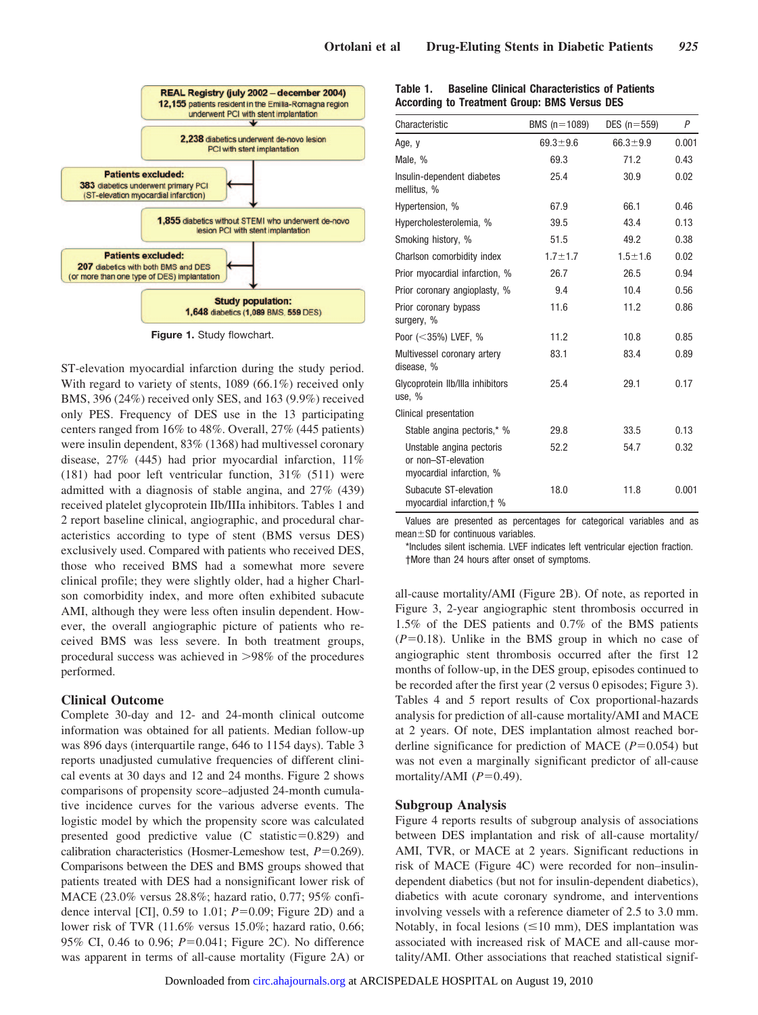

**Figure 1.** Study flowchart.

ST-elevation myocardial infarction during the study period. With regard to variety of stents, 1089 (66.1%) received only BMS, 396 (24%) received only SES, and 163 (9.9%) received only PES. Frequency of DES use in the 13 participating centers ranged from 16% to 48%. Overall, 27% (445 patients) were insulin dependent, 83% (1368) had multivessel coronary disease, 27% (445) had prior myocardial infarction, 11% (181) had poor left ventricular function, 31% (511) were admitted with a diagnosis of stable angina, and 27% (439) received platelet glycoprotein IIb/IIIa inhibitors. Tables 1 and 2 report baseline clinical, angiographic, and procedural characteristics according to type of stent (BMS versus DES) exclusively used. Compared with patients who received DES, those who received BMS had a somewhat more severe clinical profile; they were slightly older, had a higher Charlson comorbidity index, and more often exhibited subacute AMI, although they were less often insulin dependent. However, the overall angiographic picture of patients who received BMS was less severe. In both treatment groups, procedural success was achieved in  $>98\%$  of the procedures performed.

# **Clinical Outcome**

Complete 30-day and 12- and 24-month clinical outcome information was obtained for all patients. Median follow-up was 896 days (interquartile range, 646 to 1154 days). Table 3 reports unadjusted cumulative frequencies of different clinical events at 30 days and 12 and 24 months. Figure 2 shows comparisons of propensity score–adjusted 24-month cumulative incidence curves for the various adverse events. The logistic model by which the propensity score was calculated presented good predictive value  $(C \text{ statistic}=0.829)$  and calibration characteristics (Hosmer-Lemeshow test,  $P=0.269$ ). Comparisons between the DES and BMS groups showed that patients treated with DES had a nonsignificant lower risk of MACE (23.0% versus 28.8%; hazard ratio, 0.77; 95% confidence interval [CI],  $0.59$  to 1.01;  $P=0.09$ ; Figure 2D) and a lower risk of TVR (11.6% versus 15.0%; hazard ratio, 0.66; 95% CI, 0.46 to 0.96; *P*=0.041; Figure 2C). No difference was apparent in terms of all-cause mortality (Figure 2A) or

| Table 1. | <b>Baseline Clinical Characteristics of Patients</b> |
|----------|------------------------------------------------------|
|          | According to Treatment Group: BMS Versus DES         |

| Characteristic                                                              | BMS $(n=1089)$ | DES $(n=559)$  | P     |
|-----------------------------------------------------------------------------|----------------|----------------|-------|
| Age, y                                                                      | $69.3 \pm 9.6$ | $66.3 \pm 9.9$ | 0.001 |
| Male, %                                                                     | 69.3           | 71.2           | 0.43  |
| Insulin-dependent diabetes<br>mellitus, %                                   | 25.4           | 30.9           | 0.02  |
| Hypertension, %                                                             | 67.9           | 66.1           | 0.46  |
| Hypercholesterolemia, %                                                     | 39.5           | 43.4           | 0.13  |
| Smoking history, %                                                          | 51.5           | 49.2           | 0.38  |
| Charlson comorbidity index                                                  | $1.7 \pm 1.7$  | $1.5 + 1.6$    | 0.02  |
| Prior myocardial infarction, %                                              | 26.7           | 26.5           | 0.94  |
| Prior coronary angioplasty, %                                               | 9.4            | 10.4           | 0.56  |
| Prior coronary bypass<br>surgery, %                                         | 11.6           | 11.2           | 0.86  |
| Poor $(<35\%)$ LVEF, %                                                      | 11.2           | 10.8           | 0.85  |
| Multivessel coronary artery<br>disease, %                                   | 83.1           | 83.4           | 0.89  |
| Glycoprotein Ilb/Illa inhibitors<br>use, %                                  | 25.4           | 29.1           | 0.17  |
| Clinical presentation                                                       |                |                |       |
| Stable angina pectoris,* %                                                  | 29.8           | 33.5           | 0.13  |
| Unstable angina pectoris<br>or non-ST-elevation<br>myocardial infarction, % | 52.2           | 54.7           | 0.32  |
| Subacute ST-elevation<br>myocardial infarction, + %                         | 18.0           | 11.8           | 0.001 |

Values are presented as percentages for categorical variables and as mean $\pm$ SD for continuous variables.

\*Includes silent ischemia. LVEF indicates left ventricular ejection fraction. †More than 24 hours after onset of symptoms.

all-cause mortality/AMI (Figure 2B). Of note, as reported in Figure 3, 2-year angiographic stent thrombosis occurred in 1.5% of the DES patients and 0.7% of the BMS patients  $(P=0.18)$ . Unlike in the BMS group in which no case of angiographic stent thrombosis occurred after the first 12 months of follow-up, in the DES group, episodes continued to be recorded after the first year (2 versus 0 episodes; Figure 3). Tables 4 and 5 report results of Cox proportional-hazards analysis for prediction of all-cause mortality/AMI and MACE at 2 years. Of note, DES implantation almost reached borderline significance for prediction of MACE  $(P=0.054)$  but was not even a marginally significant predictor of all-cause mortality/AMI  $(P=0.49)$ .

# **Subgroup Analysis**

Figure 4 reports results of subgroup analysis of associations between DES implantation and risk of all-cause mortality/ AMI, TVR, or MACE at 2 years. Significant reductions in risk of MACE (Figure 4C) were recorded for non–insulindependent diabetics (but not for insulin-dependent diabetics), diabetics with acute coronary syndrome, and interventions involving vessels with a reference diameter of 2.5 to 3.0 mm. Notably, in focal lesions  $(\leq 10 \text{ mm})$ , DES implantation was associated with increased risk of MACE and all-cause mortality/AMI. Other associations that reached statistical signif-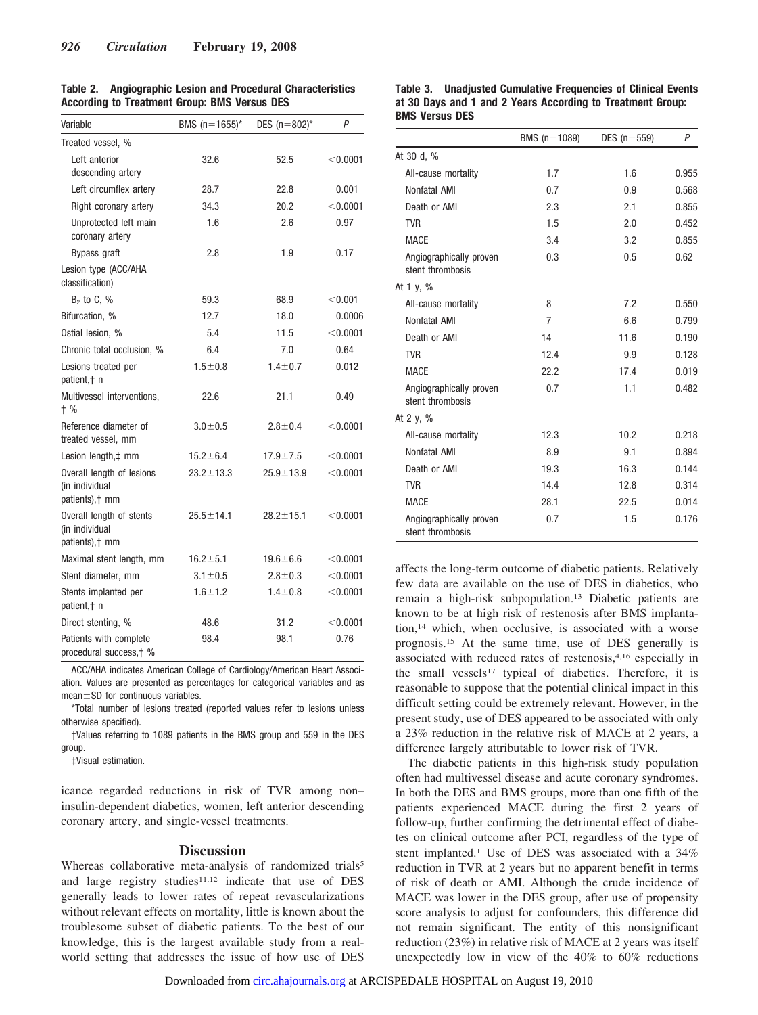| Variable                                                       | BMS $(n=1655)^*$ | DES $(n=802)^*$ | P          |
|----------------------------------------------------------------|------------------|-----------------|------------|
| Treated vessel, %                                              |                  |                 |            |
| Left anterior<br>descending artery                             | 32.6             | 52.5            | $<$ 0.0001 |
| Left circumflex artery                                         | 28.7             | 22.8            | 0.001      |
| Right coronary artery                                          | 34.3             | 20.2            | < 0.0001   |
| Unprotected left main<br>coronary artery                       | 1.6              | 2.6             | 0.97       |
| Bypass graft                                                   | 2.8              | 1.9             | 0.17       |
| Lesion type (ACC/AHA<br>classification)                        |                  |                 |            |
| $B2$ to C, %                                                   | 59.3             | 68.9            | < 0.001    |
| Bifurcation, %                                                 | 12.7             | 18.0            | 0.0006     |
| Ostial lesion, %                                               | 5.4              | 11.5            | < 0.0001   |
| Chronic total occlusion, %                                     | 6.4              | 7.0             | 0.64       |
| Lesions treated per<br>patient, + n                            | $1.5 + 0.8$      | $1.4 \pm 0.7$   | 0.012      |
| Multivessel interventions,<br>$+$ %                            | 22.6             | 21.1            | 0.49       |
| Reference diameter of<br>treated vessel, mm                    | $3.0 + 0.5$      | $2.8 \pm 0.4$   | $<$ 0.0001 |
| Lesion length, ‡ mm                                            | $15.2 \pm 6.4$   | $17.9 + 7.5$    | $<$ 0.0001 |
| Overall length of lesions<br>(in individual<br>patients), † mm | $23.2 \pm 13.3$  | $25.9 \pm 13.9$ | < 0.0001   |
| Overall length of stents<br>(in individual<br>patients), † mm  | $25.5 \pm 14.1$  | $28.2 \pm 15.1$ | < 0.0001   |
| Maximal stent length, mm                                       | $16.2 \pm 5.1$   | $19.6 \pm 6.6$  | < 0.0001   |
| Stent diameter, mm                                             | $3.1 \pm 0.5$    | $2.8 + 0.3$     | < 0.0001   |
| Stents implanted per<br>patient, + n                           | $1.6 + 1.2$      | $1.4 \pm 0.8$   | < 0.0001   |
| Direct stenting, %                                             | 48.6             | 31.2            | < 0.0001   |
| Patients with complete<br>procedural success.† %               | 98.4             | 98.1            | 0.76       |

**Table 2. Angiographic Lesion and Procedural Characteristics According to Treatment Group: BMS Versus DES**

ACC/AHA indicates American College of Cardiology/American Heart Association. Values are presented as percentages for categorical variables and as  $mean  $\pm$  SD for continuous variables.$ 

\*Total number of lesions treated (reported values refer to lesions unless otherwise specified).

†Values referring to 1089 patients in the BMS group and 559 in the DES group.

‡Visual estimation.

icance regarded reductions in risk of TVR among non– insulin-dependent diabetics, women, left anterior descending coronary artery, and single-vessel treatments.

## **Discussion**

Whereas collaborative meta-analysis of randomized trials<sup>5</sup> and large registry studies $11,12$  indicate that use of DES generally leads to lower rates of repeat revascularizations without relevant effects on mortality, little is known about the troublesome subset of diabetic patients. To the best of our knowledge, this is the largest available study from a realworld setting that addresses the issue of how use of DES

## **Table 3. Unadjusted Cumulative Frequencies of Clinical Events at 30 Days and 1 and 2 Years According to Treatment Group: BMS Versus DES**

|                                             | BMS $(n=1089)$ | DES $(n=559)$ | $\overline{P}$ |
|---------------------------------------------|----------------|---------------|----------------|
| At 30 d, %                                  |                |               |                |
| All-cause mortality                         | 1.7            | 1.6           | 0.955          |
| Nonfatal AMI                                | 0.7            | 0.9           | 0.568          |
| Death or AMI                                | 2.3            | 2.1           | 0.855          |
| <b>TVR</b>                                  | 1.5            | 2.0           | 0.452          |
| <b>MACE</b>                                 | 3.4            | 3.2           | 0.855          |
| Angiographically proven<br>stent thrombosis | 0.3            | 0.5           | 0.62           |
| At 1 $v, %$                                 |                |               |                |
| All-cause mortality                         | 8              | 7.2           | 0.550          |
| Nonfatal AMI                                | $\overline{7}$ | 6.6           | 0.799          |
| Death or AMI                                | 14             | 11.6          | 0.190          |
| <b>TVR</b>                                  | 12.4           | 9.9           | 0.128          |
| <b>MACE</b>                                 | 22.2           | 17.4          | 0.019          |
| Angiographically proven<br>stent thrombosis | 0.7            | 1.1           | 0.482          |
| At 2 $y, \%$                                |                |               |                |
| All-cause mortality                         | 12.3           | 10.2          | 0.218          |
| Nonfatal AMI                                | 8.9            | 9.1           | 0.894          |
| Death or AMI                                | 19.3           | 16.3          | 0.144          |
| <b>TVR</b>                                  | 14.4           | 12.8          | 0.314          |
| <b>MACE</b>                                 | 28.1           | 22.5          | 0.014          |
| Angiographically proven<br>stent thrombosis | 0.7            | 1.5           | 0.176          |

affects the long-term outcome of diabetic patients. Relatively few data are available on the use of DES in diabetics, who remain a high-risk subpopulation.13 Diabetic patients are known to be at high risk of restenosis after BMS implantation,14 which, when occlusive, is associated with a worse prognosis.15 At the same time, use of DES generally is associated with reduced rates of restenosis,4,16 especially in the small vessels<sup>17</sup> typical of diabetics. Therefore, it is reasonable to suppose that the potential clinical impact in this difficult setting could be extremely relevant. However, in the present study, use of DES appeared to be associated with only a 23% reduction in the relative risk of MACE at 2 years, a difference largely attributable to lower risk of TVR.

The diabetic patients in this high-risk study population often had multivessel disease and acute coronary syndromes. In both the DES and BMS groups, more than one fifth of the patients experienced MACE during the first 2 years of follow-up, further confirming the detrimental effect of diabetes on clinical outcome after PCI, regardless of the type of stent implanted.1 Use of DES was associated with a 34% reduction in TVR at 2 years but no apparent benefit in terms of risk of death or AMI. Although the crude incidence of MACE was lower in the DES group, after use of propensity score analysis to adjust for confounders, this difference did not remain significant. The entity of this nonsignificant reduction (23%) in relative risk of MACE at 2 years was itself unexpectedly low in view of the 40% to 60% reductions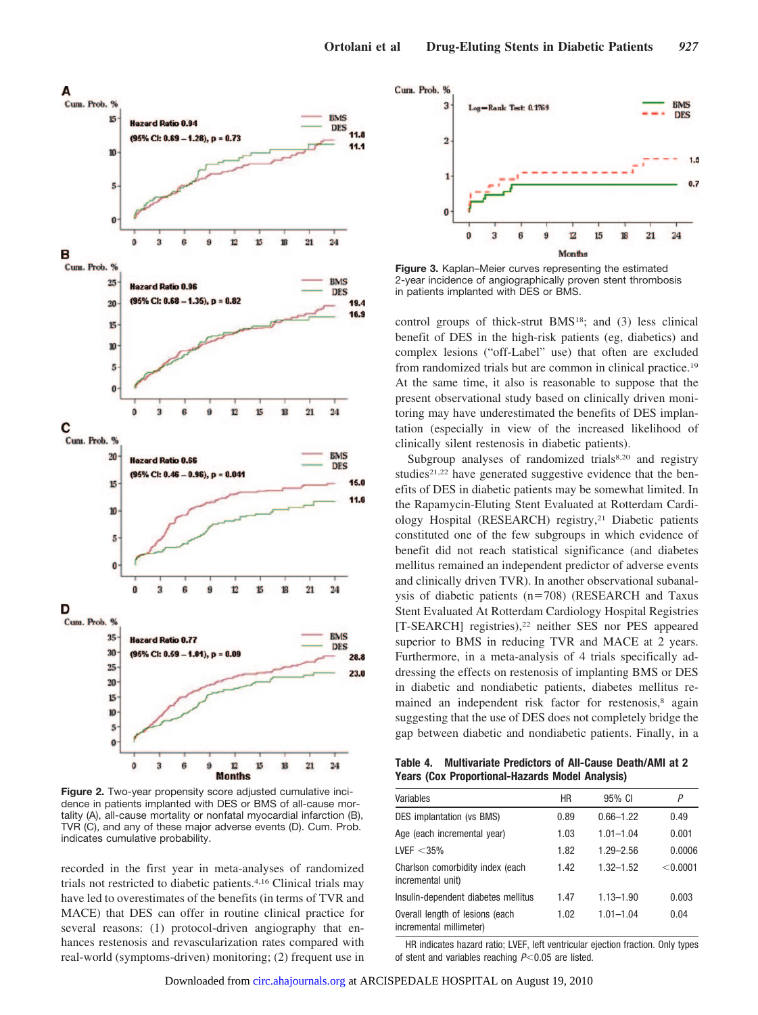

**Figure 2.** Two-year propensity score adjusted cumulative incidence in patients implanted with DES or BMS of all-cause mortality (A), all-cause mortality or nonfatal myocardial infarction (B), TVR (C), and any of these major adverse events (D). Cum. Prob. indicates cumulative probability.

recorded in the first year in meta-analyses of randomized trials not restricted to diabetic patients.4,16 Clinical trials may have led to overestimates of the benefits (in terms of TVR and MACE) that DES can offer in routine clinical practice for several reasons: (1) protocol-driven angiography that enhances restenosis and revascularization rates compared with real-world (symptoms-driven) monitoring; (2) frequent use in



**Figure 3.** Kaplan–Meier curves representing the estimated 2-year incidence of angiographically proven stent thrombosis in patients implanted with DES or BMS.

control groups of thick-strut BMS18; and (3) less clinical benefit of DES in the high-risk patients (eg, diabetics) and complex lesions ("off-Label" use) that often are excluded from randomized trials but are common in clinical practice.19 At the same time, it also is reasonable to suppose that the present observational study based on clinically driven monitoring may have underestimated the benefits of DES implantation (especially in view of the increased likelihood of clinically silent restenosis in diabetic patients).

Subgroup analyses of randomized trials8,20 and registry studies<sup>21,22</sup> have generated suggestive evidence that the benefits of DES in diabetic patients may be somewhat limited. In the Rapamycin-Eluting Stent Evaluated at Rotterdam Cardiology Hospital (RESEARCH) registry,21 Diabetic patients constituted one of the few subgroups in which evidence of benefit did not reach statistical significance (and diabetes mellitus remained an independent predictor of adverse events and clinically driven TVR). In another observational subanalysis of diabetic patients  $(n=708)$  (RESEARCH and Taxus Stent Evaluated At Rotterdam Cardiology Hospital Registries [T-SEARCH] registries),<sup>22</sup> neither SES nor PES appeared superior to BMS in reducing TVR and MACE at 2 years. Furthermore, in a meta-analysis of 4 trials specifically addressing the effects on restenosis of implanting BMS or DES in diabetic and nondiabetic patients, diabetes mellitus remained an independent risk factor for restenosis,<sup>8</sup> again suggesting that the use of DES does not completely bridge the gap between diabetic and nondiabetic patients. Finally, in a

**Table 4. Multivariate Predictors of All-Cause Death/AMI at 2 Years (Cox Proportional-Hazards Model Analysis)**

| Variables                                                  | HR   | 95% CI        | Ρ        |
|------------------------------------------------------------|------|---------------|----------|
| DES implantation (vs BMS)                                  | 0.89 | $0.66 - 1.22$ | 0.49     |
| Age (each incremental year)                                | 1.03 | $1.01 - 1.04$ | 0.001    |
| LVEF $<$ 35%                                               | 1.82 | $1.29 - 2.56$ | 0.0006   |
| Charlson comorbidity index (each<br>incremental unit)      | 1.42 | $1.32 - 1.52$ | < 0.0001 |
| Insulin-dependent diabetes mellitus                        | 1.47 | $1.13 - 1.90$ | 0.003    |
| Overall length of lesions (each<br>incremental millimeter) | 1.02 | $1.01 - 1.04$ | 0.04     |

HR indicates hazard ratio; LVEF, left ventricular ejection fraction. Only types of stent and variables reaching  $P<0.05$  are listed.

Downloaded from [circ.ahajournals.org](http://circ.ahajournals.org) at ARCISPEDALE HOSPITAL on August 19, 2010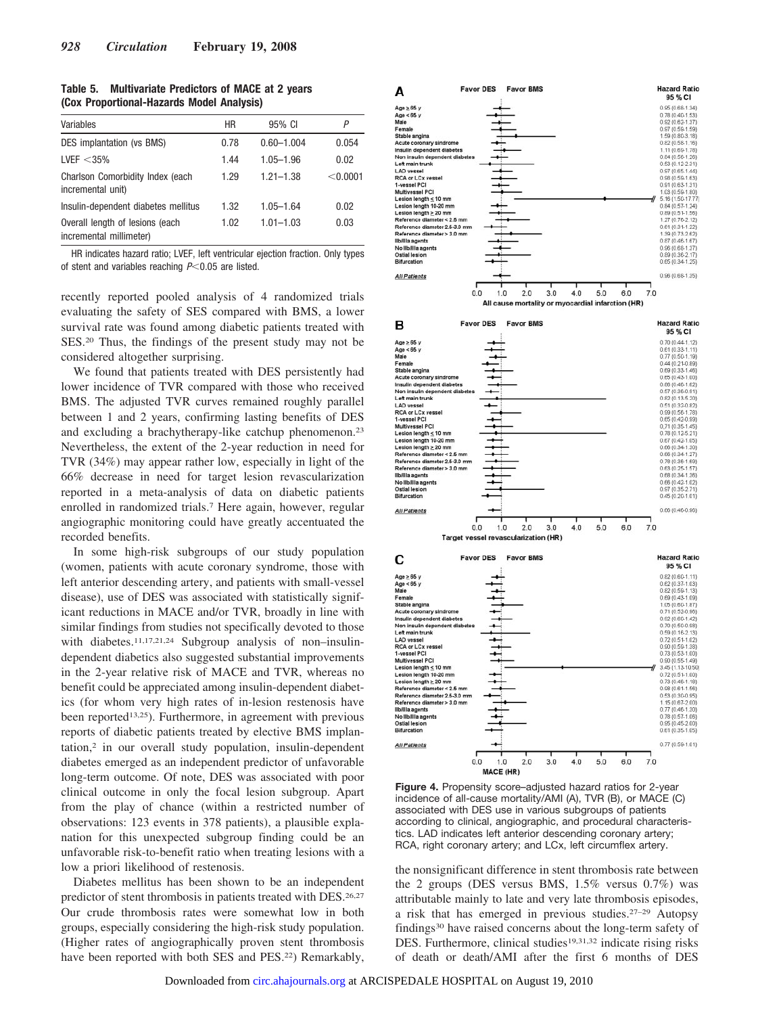| Table 5. | <b>Multivariate Predictors of MACE at 2 years</b> |  |
|----------|---------------------------------------------------|--|
|          | (Cox Proportional-Hazards Model Analysis)         |  |

| Variables                                                  | HR   | 95% CI         | P        |
|------------------------------------------------------------|------|----------------|----------|
| DES implantation (vs BMS)                                  | 0.78 | $0.60 - 1.004$ | 0.054    |
| LVEF $<$ 35%                                               | 1.44 | $1.05 - 1.96$  | 0.02     |
| Charlson Comorbidity Index (each<br>incremental unit)      | 1.29 | $1.21 - 1.38$  | < 0.0001 |
| Insulin-dependent diabetes mellitus                        | 1.32 | $1.05 - 1.64$  | 0.02     |
| Overall length of lesions (each<br>incremental millimeter) | 1.02 | $1.01 - 1.03$  | 0.03     |

HR indicates hazard ratio; LVEF, left ventricular ejection fraction. Only types of stent and variables reaching *P*-0.05 are listed.

recently reported pooled analysis of 4 randomized trials evaluating the safety of SES compared with BMS, a lower survival rate was found among diabetic patients treated with SES.20 Thus, the findings of the present study may not be considered altogether surprising.

We found that patients treated with DES persistently had lower incidence of TVR compared with those who received BMS. The adjusted TVR curves remained roughly parallel between 1 and 2 years, confirming lasting benefits of DES and excluding a brachytherapy-like catchup phenomenon.23 Nevertheless, the extent of the 2-year reduction in need for TVR (34%) may appear rather low, especially in light of the 66% decrease in need for target lesion revascularization reported in a meta-analysis of data on diabetic patients enrolled in randomized trials.7 Here again, however, regular angiographic monitoring could have greatly accentuated the recorded benefits.

In some high-risk subgroups of our study population (women, patients with acute coronary syndrome, those with left anterior descending artery, and patients with small-vessel disease), use of DES was associated with statistically significant reductions in MACE and/or TVR, broadly in line with similar findings from studies not specifically devoted to those with diabetes.<sup>11,17,21,24</sup> Subgroup analysis of non–insulindependent diabetics also suggested substantial improvements in the 2-year relative risk of MACE and TVR, whereas no benefit could be appreciated among insulin-dependent diabetics (for whom very high rates of in-lesion restenosis have been reported<sup>13,25</sup>). Furthermore, in agreement with previous reports of diabetic patients treated by elective BMS implantation,2 in our overall study population, insulin-dependent diabetes emerged as an independent predictor of unfavorable long-term outcome. Of note, DES was associated with poor clinical outcome in only the focal lesion subgroup. Apart from the play of chance (within a restricted number of observations: 123 events in 378 patients), a plausible explanation for this unexpected subgroup finding could be an unfavorable risk-to-benefit ratio when treating lesions with a low a priori likelihood of restenosis.

Diabetes mellitus has been shown to be an independent predictor of stent thrombosis in patients treated with DES.<sup>26,27</sup> Our crude thrombosis rates were somewhat low in both groups, especially considering the high-risk study population. (Higher rates of angiographically proven stent thrombosis have been reported with both SES and PES.<sup>22</sup>) Remarkably,



**Figure 4.** Propensity score–adjusted hazard ratios for 2-year incidence of all-cause mortality/AMI (A), TVR (B), or MACE (C) associated with DES use in various subgroups of patients according to clinical, angiographic, and procedural characteristics. LAD indicates left anterior descending coronary artery; RCA, right coronary artery; and LCx, left circumflex artery.

the nonsignificant difference in stent thrombosis rate between the 2 groups (DES versus BMS, 1.5% versus 0.7%) was attributable mainly to late and very late thrombosis episodes, a risk that has emerged in previous studies.27–29 Autopsy findings30 have raised concerns about the long-term safety of DES. Furthermore, clinical studies<sup>19,31,32</sup> indicate rising risks of death or death/AMI after the first 6 months of DES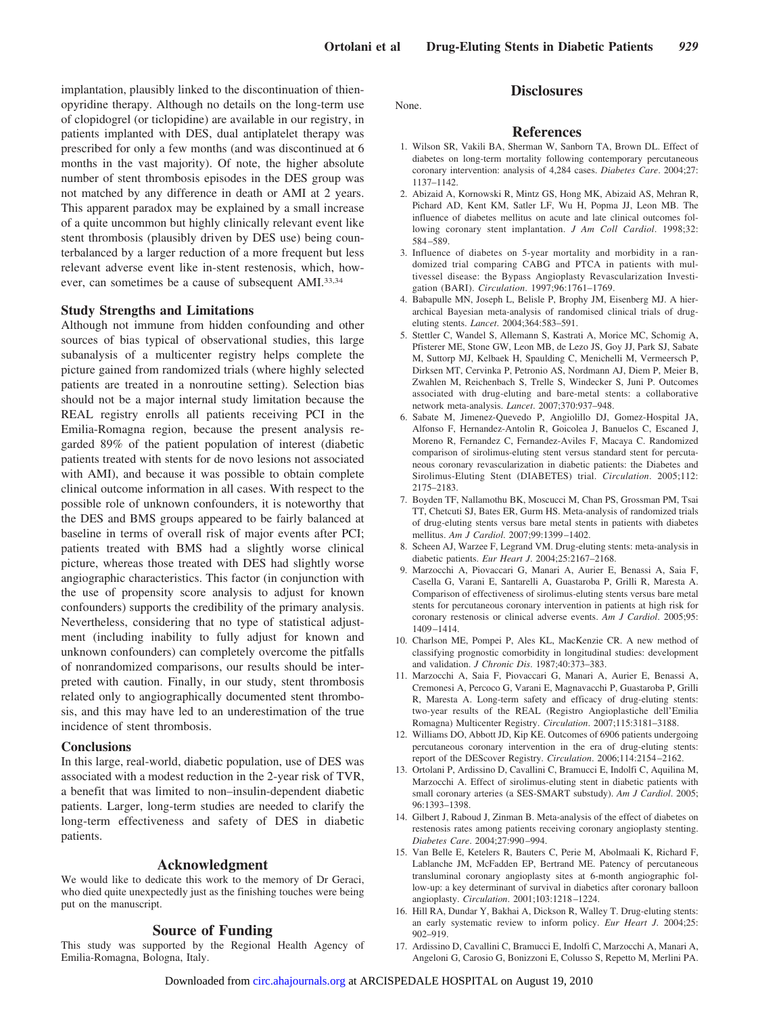implantation, plausibly linked to the discontinuation of thienopyridine therapy. Although no details on the long-term use of clopidogrel (or ticlopidine) are available in our registry, in patients implanted with DES, dual antiplatelet therapy was prescribed for only a few months (and was discontinued at 6 months in the vast majority). Of note, the higher absolute number of stent thrombosis episodes in the DES group was not matched by any difference in death or AMI at 2 years. This apparent paradox may be explained by a small increase of a quite uncommon but highly clinically relevant event like stent thrombosis (plausibly driven by DES use) being counterbalanced by a larger reduction of a more frequent but less relevant adverse event like in-stent restenosis, which, however, can sometimes be a cause of subsequent AMI.33,34

# **Study Strengths and Limitations**

Although not immune from hidden confounding and other sources of bias typical of observational studies, this large subanalysis of a multicenter registry helps complete the picture gained from randomized trials (where highly selected patients are treated in a nonroutine setting). Selection bias should not be a major internal study limitation because the REAL registry enrolls all patients receiving PCI in the Emilia-Romagna region, because the present analysis regarded 89% of the patient population of interest (diabetic patients treated with stents for de novo lesions not associated with AMI), and because it was possible to obtain complete clinical outcome information in all cases. With respect to the possible role of unknown confounders, it is noteworthy that the DES and BMS groups appeared to be fairly balanced at baseline in terms of overall risk of major events after PCI; patients treated with BMS had a slightly worse clinical picture, whereas those treated with DES had slightly worse angiographic characteristics. This factor (in conjunction with the use of propensity score analysis to adjust for known confounders) supports the credibility of the primary analysis. Nevertheless, considering that no type of statistical adjustment (including inability to fully adjust for known and unknown confounders) can completely overcome the pitfalls of nonrandomized comparisons, our results should be interpreted with caution. Finally, in our study, stent thrombosis related only to angiographically documented stent thrombosis, and this may have led to an underestimation of the true incidence of stent thrombosis.

# **Conclusions**

In this large, real-world, diabetic population, use of DES was associated with a modest reduction in the 2-year risk of TVR, a benefit that was limited to non–insulin-dependent diabetic patients. Larger, long-term studies are needed to clarify the long-term effectiveness and safety of DES in diabetic patients.

# **Acknowledgment**

We would like to dedicate this work to the memory of Dr Geraci, who died quite unexpectedly just as the finishing touches were being put on the manuscript.

# **Source of Funding**

This study was supported by the Regional Health Agency of Emilia-Romagna, Bologna, Italy.

## None.

#### **References**

**Disclosures**

- 1. Wilson SR, Vakili BA, Sherman W, Sanborn TA, Brown DL. Effect of diabetes on long-term mortality following contemporary percutaneous coronary intervention: analysis of 4,284 cases. *Diabetes Care*. 2004;27: 1137–1142.
- 2. Abizaid A, Kornowski R, Mintz GS, Hong MK, Abizaid AS, Mehran R, Pichard AD, Kent KM, Satler LF, Wu H, Popma JJ, Leon MB. The influence of diabetes mellitus on acute and late clinical outcomes following coronary stent implantation. *J Am Coll Cardiol*. 1998;32: 584 –589.
- 3. Influence of diabetes on 5-year mortality and morbidity in a randomized trial comparing CABG and PTCA in patients with multivessel disease: the Bypass Angioplasty Revascularization Investigation (BARI). *Circulation*. 1997;96:1761–1769.
- 4. Babapulle MN, Joseph L, Belisle P, Brophy JM, Eisenberg MJ. A hierarchical Bayesian meta-analysis of randomised clinical trials of drugeluting stents. *Lancet*. 2004;364:583–591.
- 5. Stettler C, Wandel S, Allemann S, Kastrati A, Morice MC, Schomig A, Pfisterer ME, Stone GW, Leon MB, de Lezo JS, Goy JJ, Park SJ, Sabate M, Suttorp MJ, Kelbaek H, Spaulding C, Menichelli M, Vermeersch P, Dirksen MT, Cervinka P, Petronio AS, Nordmann AJ, Diem P, Meier B, Zwahlen M, Reichenbach S, Trelle S, Windecker S, Juni P. Outcomes associated with drug-eluting and bare-metal stents: a collaborative network meta-analysis. *Lancet*. 2007;370:937–948.
- 6. Sabate M, Jimenez-Quevedo P, Angiolillo DJ, Gomez-Hospital JA, Alfonso F, Hernandez-Antolin R, Goicolea J, Banuelos C, Escaned J, Moreno R, Fernandez C, Fernandez-Aviles F, Macaya C. Randomized comparison of sirolimus-eluting stent versus standard stent for percutaneous coronary revascularization in diabetic patients: the Diabetes and Sirolimus-Eluting Stent (DIABETES) trial. *Circulation*. 2005;112: 2175–2183.
- 7. Boyden TF, Nallamothu BK, Moscucci M, Chan PS, Grossman PM, Tsai TT, Chetcuti SJ, Bates ER, Gurm HS. Meta-analysis of randomized trials of drug-eluting stents versus bare metal stents in patients with diabetes mellitus. *Am J Cardiol*. 2007;99:1399 –1402.
- 8. Scheen AJ, Warzee F, Legrand VM. Drug-eluting stents: meta-analysis in diabetic patients. *Eur Heart J*. 2004;25:2167–2168.
- 9. Marzocchi A, Piovaccari G, Manari A, Aurier E, Benassi A, Saia F, Casella G, Varani E, Santarelli A, Guastaroba P, Grilli R, Maresta A. Comparison of effectiveness of sirolimus-eluting stents versus bare metal stents for percutaneous coronary intervention in patients at high risk for coronary restenosis or clinical adverse events. *Am J Cardiol*. 2005;95: 1409 –1414.
- 10. Charlson ME, Pompei P, Ales KL, MacKenzie CR. A new method of classifying prognostic comorbidity in longitudinal studies: development and validation. *J Chronic Dis*. 1987;40:373–383.
- 11. Marzocchi A, Saia F, Piovaccari G, Manari A, Aurier E, Benassi A, Cremonesi A, Percoco G, Varani E, Magnavacchi P, Guastaroba P, Grilli R, Maresta A. Long-term safety and efficacy of drug-eluting stents: two-year results of the REAL (Registro Angioplastiche dell'Emilia Romagna) Multicenter Registry. *Circulation*. 2007;115:3181–3188.
- 12. Williams DO, Abbott JD, Kip KE. Outcomes of 6906 patients undergoing percutaneous coronary intervention in the era of drug-eluting stents: report of the DEScover Registry. *Circulation*. 2006;114:2154 –2162.
- 13. Ortolani P, Ardissino D, Cavallini C, Bramucci E, Indolfi C, Aquilina M, Marzocchi A. Effect of sirolimus-eluting stent in diabetic patients with small coronary arteries (a SES-SMART substudy). *Am J Cardiol*. 2005; 96:1393–1398.
- 14. Gilbert J, Raboud J, Zinman B. Meta-analysis of the effect of diabetes on restenosis rates among patients receiving coronary angioplasty stenting. *Diabetes Care*. 2004;27:990 –994.
- 15. Van Belle E, Ketelers R, Bauters C, Perie M, Abolmaali K, Richard F, Lablanche JM, McFadden EP, Bertrand ME. Patency of percutaneous transluminal coronary angioplasty sites at 6-month angiographic follow-up: a key determinant of survival in diabetics after coronary balloon angioplasty. *Circulation*. 2001;103:1218 –1224.
- 16. Hill RA, Dundar Y, Bakhai A, Dickson R, Walley T. Drug-eluting stents: an early systematic review to inform policy. *Eur Heart J*. 2004;25: 902–919.
- 17. Ardissino D, Cavallini C, Bramucci E, Indolfi C, Marzocchi A, Manari A, Angeloni G, Carosio G, Bonizzoni E, Colusso S, Repetto M, Merlini PA.